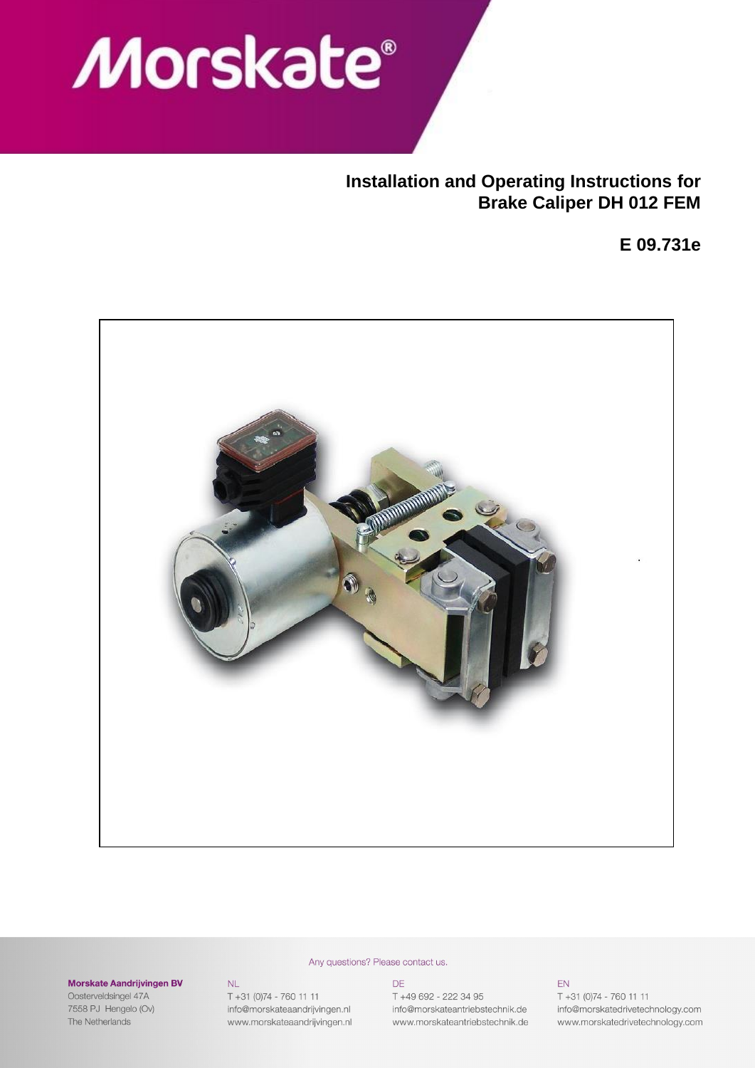

# **Installation and Operating Instructions for Brake Caliper DH 012 FEM**

**E 09.731e**



#### Morskate Aandrijvingen BV

Oosterveldsingel 47A 7558 PJ Hengelo (Ov) The Netherlands

#### $\mathsf{NL}$

T +31 (0)74 - 760 11 11 info@morskateaandrijvingen.nl www.morskateaandrijvingen.nl

# **DE**

Any questions? Please contact us.

T +49 692 - 222 34 95 info@morskateantriebstechnik.de www.morskateantriebstechnik.de

#### EN.

T +31 (0)74 - 760 11 11 info@morskatedrivetechnology.com www.morskatedrivetechnology.com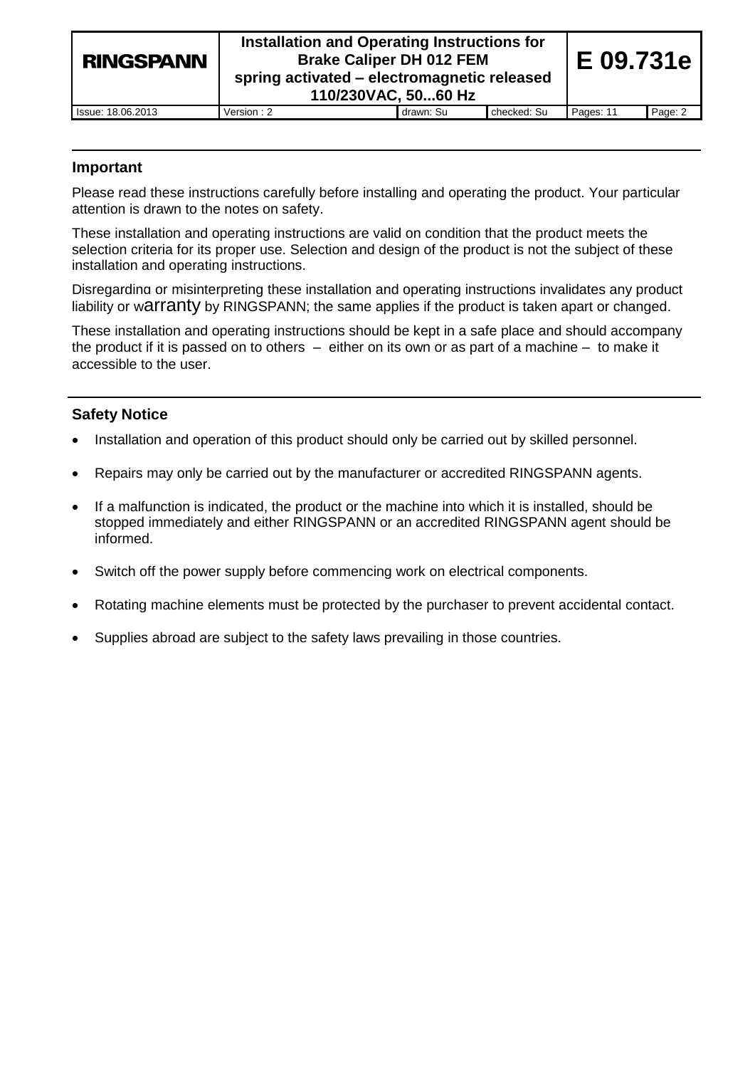| <b>RINGSPANN</b>  | Installation and Operating Instructions for<br><b>Brake Caliper DH 012 FEM</b><br>spring activated - electromagnetic released<br>110/230VAC, 5060 Hz | E 09.731e |             |           |         |
|-------------------|------------------------------------------------------------------------------------------------------------------------------------------------------|-----------|-------------|-----------|---------|
| Issue: 18.06.2013 | Version : 2                                                                                                                                          | drawn: Su | checked: Su | Pages: 11 | Page: 2 |
|                   |                                                                                                                                                      |           |             |           |         |

## **Important**

Please read these instructions carefully before installing and operating the product. Your particular attention is drawn to the notes on safety.

These installation and operating instructions are valid on condition that the product meets the selection criteria for its proper use. Selection and design of the product is not the subject of these installation and operating instructions.

Disregarding or misinterpreting these installation and operating instructions invalidates any product liability or warranty by RINGSPANN; the same applies if the product is taken apart or changed.

These installation and operating instructions should be kept in a safe place and should accompany the product if it is passed on to others – either on its own or as part of a machine – to make it accessible to the user.

## **Safety Notice**

- Installation and operation of this product should only be carried out by skilled personnel.
- Repairs may only be carried out by the manufacturer or accredited RINGSPANN agents.
- If a malfunction is indicated, the product or the machine into which it is installed, should be stopped immediately and either RINGSPANN or an accredited RINGSPANN agent should be informed.
- Switch off the power supply before commencing work on electrical components.
- Rotating machine elements must be protected by the purchaser to prevent accidental contact.
- Supplies abroad are subject to the safety laws prevailing in those countries.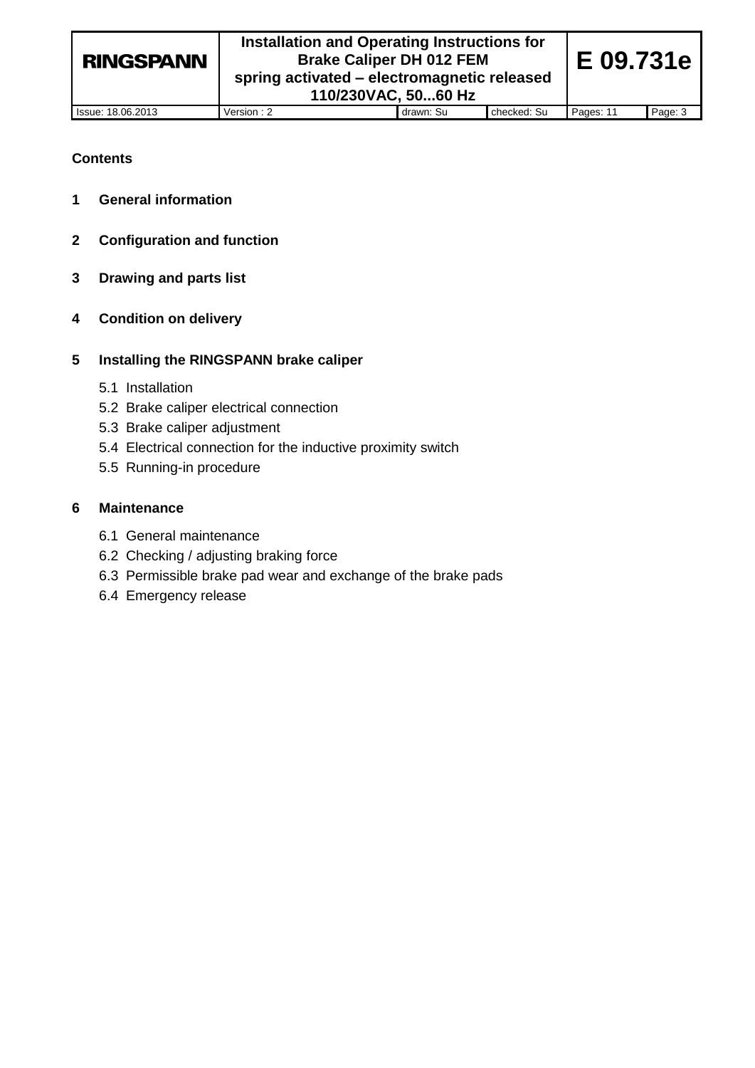## **Contents**

- **1 General information**
- **2 Configuration and function**
- **3 Drawing and parts list**
- **4 Condition on delivery**

## **5 Installing the RINGSPANN brake caliper**

- 5.1 Installation
- 5.2 Brake caliper electrical connection
- 5.3 Brake caliper adjustment
- 5.4 Electrical connection for the inductive proximity switch
- 5.5 Running-in procedure

## **6 Maintenance**

- 6.1 General maintenance
- 6.2 Checking / adjusting braking force
- 6.3 Permissible brake pad wear and exchange of the brake pads
- 6.4 Emergency release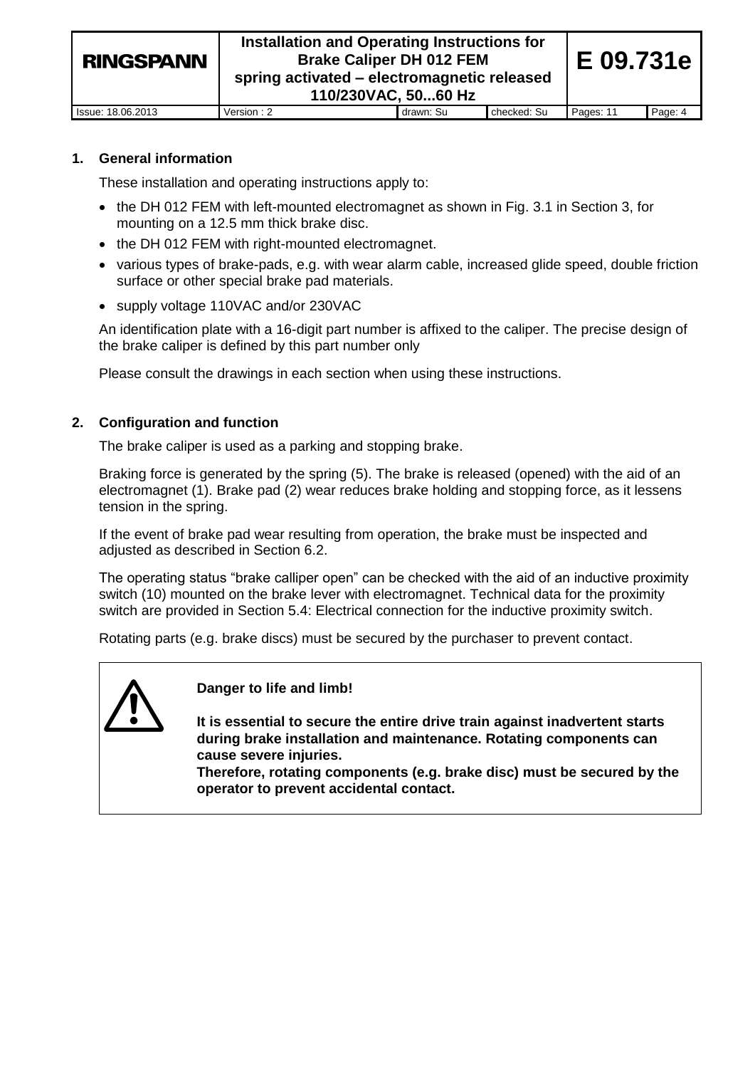| <b>RINGSPANN</b>  | Installation and Operating Instructions for<br>E 09.731e<br><b>Brake Caliper DH 012 FEM</b><br>spring activated – electromagnetic released<br>110/230VAC, 5060 Hz |           |             |           |         |
|-------------------|-------------------------------------------------------------------------------------------------------------------------------------------------------------------|-----------|-------------|-----------|---------|
| Issue: 18.06.2013 | Version: 2                                                                                                                                                        | drawn: Su | checked: Su | Pages: 11 | Page: 4 |

## **1. General information**

These installation and operating instructions apply to:

- the DH 012 FEM with left-mounted electromagnet as shown in Fig. 3.1 in Section 3, for mounting on a 12.5 mm thick brake disc.
- the DH 012 FEM with right-mounted electromagnet.
- various types of brake-pads, e.g. with wear alarm cable, increased glide speed, double friction surface or other special brake pad materials.
- supply voltage 110VAC and/or 230VAC

An identification plate with a 16-digit part number is affixed to the caliper. The precise design of the brake caliper is defined by this part number only

Please consult the drawings in each section when using these instructions.

## **2. Configuration and function**

The brake caliper is used as a parking and stopping brake.

Braking force is generated by the spring (5). The brake is released (opened) with the aid of an electromagnet (1). Brake pad (2) wear reduces brake holding and stopping force, as it lessens tension in the spring.

If the event of brake pad wear resulting from operation, the brake must be inspected and adjusted as described in Section 6.2.

The operating status "brake calliper open" can be checked with the aid of an inductive proximity switch (10) mounted on the brake lever with electromagnet. Technical data for the proximity switch are provided in Section 5.4: Electrical connection for the inductive proximity switch.

Rotating parts (e.g. brake discs) must be secured by the purchaser to prevent contact.



**Danger to life and limb!**

**It is essential to secure the entire drive train against inadvertent starts during brake installation and maintenance. Rotating components can cause severe injuries.** 

**Therefore, rotating components (e.g. brake disc) must be secured by the operator to prevent accidental contact.**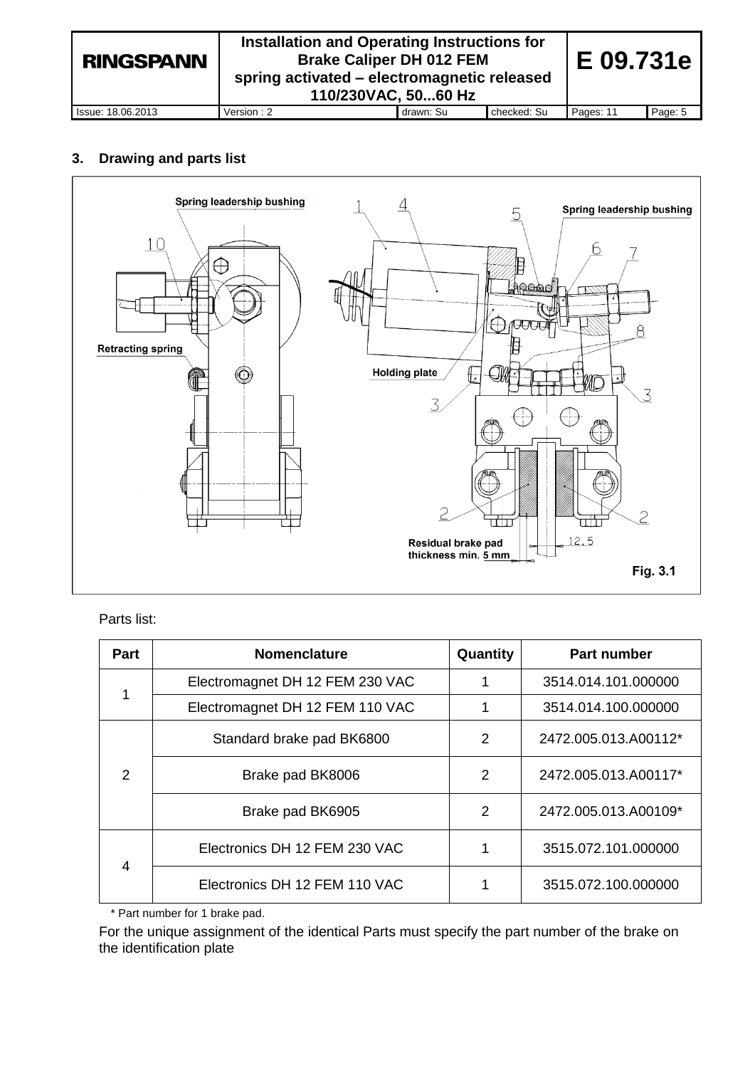| <b>RINGSPANN</b>  | Installation and Operating Instructions for<br><b>Brake Caliper DH 012 FEM</b><br>spring activated – electromagnetic released<br>110/230VAC, 5060 Hz |           |             |           |         |
|-------------------|------------------------------------------------------------------------------------------------------------------------------------------------------|-----------|-------------|-----------|---------|
| Issue: 18.06.2013 | Version : 2                                                                                                                                          | drawn: Su | checked: Su | Pages: 11 | Page: 5 |

## **3. Drawing and parts list**



## Parts list:

| Part           | <b>Nomenclature</b>             | Quantity | <b>Part number</b>   |
|----------------|---------------------------------|----------|----------------------|
|                | Electromagnet DH 12 FEM 230 VAC |          | 3514.014.101.000000  |
|                | Electromagnet DH 12 FEM 110 VAC |          | 3514.014.100.000000  |
|                | Standard brake pad BK6800       | 2        | 2472.005.013.A00112* |
| $\mathcal{P}$  | Brake pad BK8006                | 2        | 2472.005.013.A00117* |
|                | Brake pad BK6905                | 2        | 2472.005.013.A00109* |
|                | Electronics DH 12 FEM 230 VAC   |          | 3515.072.101.000000  |
| $\overline{4}$ | Electronics DH 12 FEM 110 VAC   |          | 3515.072.100.000000  |

\* Part number for 1 brake pad.

For the unique assignment of the identical Parts must specify the part number of the brake on the identification plate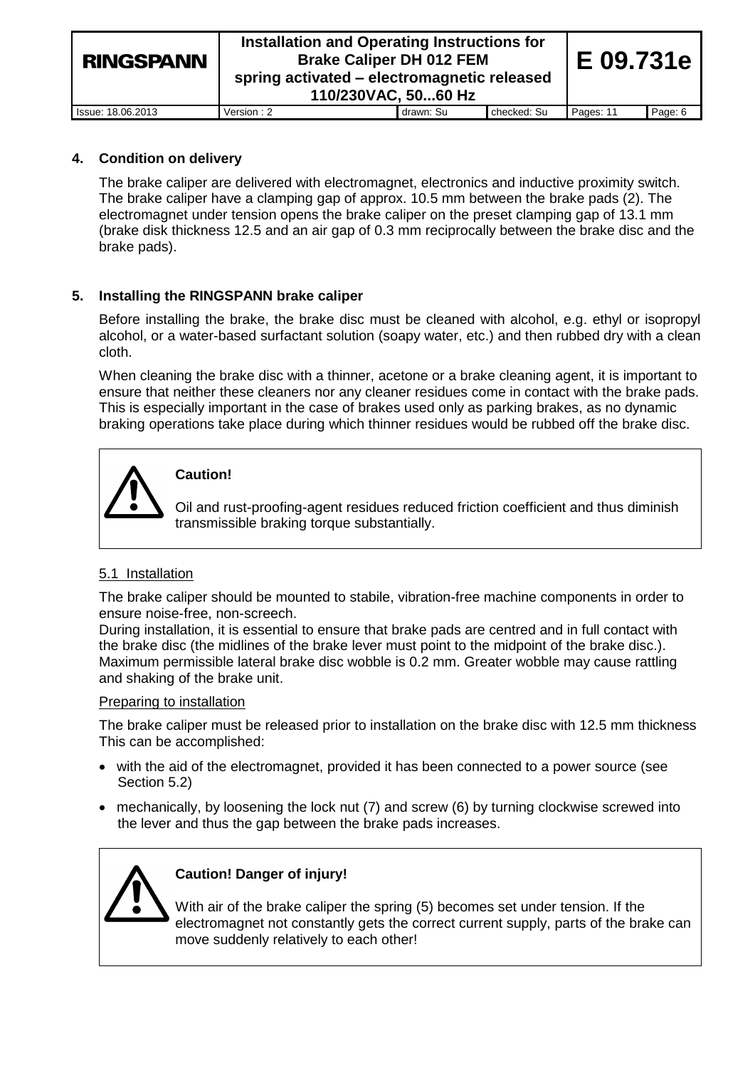| <b>RINGSPANN</b>  | Installation and Operating Instructions for<br><b>Brake Caliper DH 012 FEM</b><br>spring activated – electromagnetic released<br>110/230VAC, 5060 Hz |           |             |           |         |
|-------------------|------------------------------------------------------------------------------------------------------------------------------------------------------|-----------|-------------|-----------|---------|
| Issue: 18.06.2013 | Version: 2                                                                                                                                           | drawn: Su | checked: Su | Pages: 11 | Page: 6 |

## **4. Condition on delivery**

The brake caliper are delivered with electromagnet, electronics and inductive proximity switch. The brake caliper have a clamping gap of approx. 10.5 mm between the brake pads (2). The electromagnet under tension opens the brake caliper on the preset clamping gap of 13.1 mm (brake disk thickness 12.5 and an air gap of 0.3 mm reciprocally between the brake disc and the brake pads).

## **5. Installing the RINGSPANN brake caliper**

Before installing the brake, the brake disc must be cleaned with alcohol, e.g. ethyl or isopropyl alcohol, or a water-based surfactant solution (soapy water, etc.) and then rubbed dry with a clean cloth.

When cleaning the brake disc with a thinner, acetone or a brake cleaning agent, it is important to ensure that neither these cleaners nor any cleaner residues come in contact with the brake pads. This is especially important in the case of brakes used only as parking brakes, as no dynamic braking operations take place during which thinner residues would be rubbed off the brake disc.



## **Caution!**

Oil and rust-proofing-agent residues reduced friction coefficient and thus diminish transmissible braking torque substantially.

## 5.1 Installation

The brake caliper should be mounted to stabile, vibration-free machine components in order to ensure noise-free, non-screech.

During installation, it is essential to ensure that brake pads are centred and in full contact with the brake disc (the midlines of the brake lever must point to the midpoint of the brake disc.). Maximum permissible lateral brake disc wobble is 0.2 mm. Greater wobble may cause rattling and shaking of the brake unit.

## Preparing to installation

The brake caliper must be released prior to installation on the brake disc with 12.5 mm thickness This can be accomplished:

- with the aid of the electromagnet, provided it has been connected to a power source (see Section 5.2)
- mechanically, by loosening the lock nut (7) and screw (6) by turning clockwise screwed into the lever and thus the gap between the brake pads increases.



## **Caution! Danger of injury!**

With air of the brake caliper the spring (5) becomes set under tension. If the electromagnet not constantly gets the correct current supply, parts of the brake can move suddenly relatively to each other!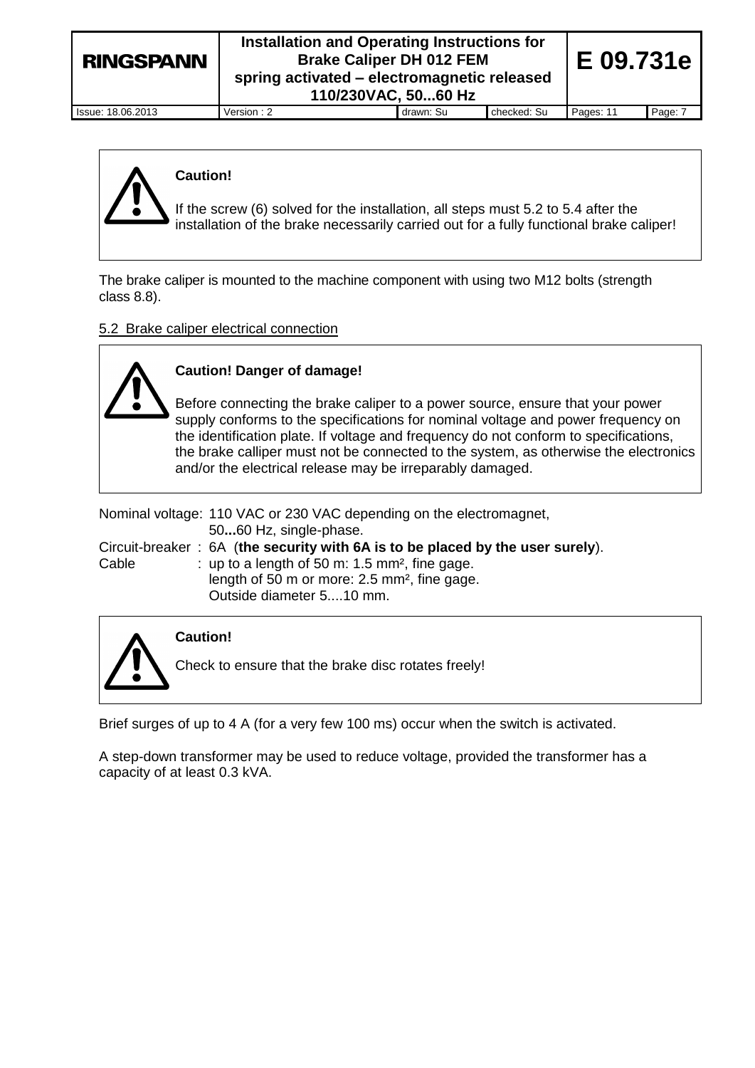## **Installation and Operating Instructions for Brake Caliper DH 012 FEM spring activated – electromagnetic released 110/230VAC, 50...60 Hz**

Issue: 18.06.2013 Version : 2 drawn: Su checked: Su Pages: 11 Page: 7

**E 09.731e**



## **Caution!**

If the screw (6) solved for the installation, all steps must 5.2 to 5.4 after the installation of the brake necessarily carried out for a fully functional brake caliper!

The brake caliper is mounted to the machine component with using two M12 bolts (strength class 8.8).

## 5.2 Brake caliper electrical connection

**Caution! Danger of damage!**

Before connecting the brake caliper to a power source, ensure that your power supply conforms to the specifications for nominal voltage and power frequency on the identification plate. If voltage and frequency do not conform to specifications, the brake calliper must not be connected to the system, as otherwise the electronics and/or the electrical release may be irreparably damaged.

Nominal voltage: 110 VAC or 230 VAC depending on the electromagnet, 50**...**60 Hz, single-phase. Circuit-breaker : 6A (**the security with 6A is to be placed by the user surely**).

|       | <b>Official Divaluation</b> 1977 (the Security with on is to be placed by the user surely |
|-------|-------------------------------------------------------------------------------------------|
| Cable | : up to a length of 50 m: $1.5$ mm <sup>2</sup> , fine gage.                              |
|       | length of 50 m or more: 2.5 mm <sup>2</sup> , fine gage.                                  |
|       | Outside diameter 510 mm.                                                                  |



**Unzulässige** 

# **Caution!**

Check to ensure that the brake disc rotates freely!

Brief surges of up to 4 A (for a very few 100 ms) occur when the switch is activated.

A step-down transformer may be used to reduce voltage, provided the transformer has a capacity of at least 0.3 kVA.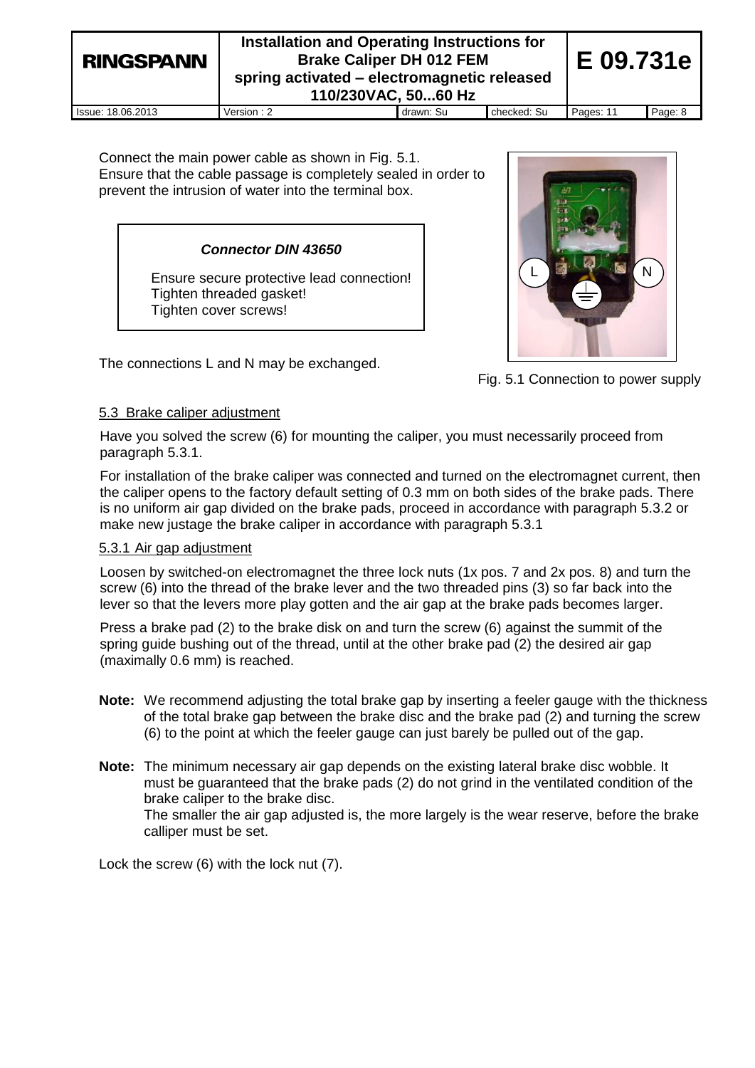| <b>RINGSPANN</b>         | Installation and Operating Instructions for<br><b>Brake Caliper DH 012 FEM</b><br>spring activated – electromagnetic released<br>110/230VAC, 5060 Hz |           |             | E 09.731e |         |
|--------------------------|------------------------------------------------------------------------------------------------------------------------------------------------------|-----------|-------------|-----------|---------|
| <b>Issue: 18.06.2013</b> | Version : 2                                                                                                                                          | drawn: Su | checked: Su | Pages: 11 | Page: 8 |

Connect the main power cable as shown in Fig. 5.1. Ensure that the cable passage is completely sealed in order to prevent the intrusion of water into the terminal box.

#### *Connector DIN 43650*

Ensure secure protective lead connection! Tighten threaded gasket! Tighten cover screws!



Fig. 5.1 Connection to power supply

The connections L and N may be exchanged.

## 5.3 Brake caliper adjustment

Have you solved the screw (6) for mounting the caliper, you must necessarily proceed from paragraph 5.3.1.

For installation of the brake caliper was connected and turned on the electromagnet current, then the caliper opens to the factory default setting of 0.3 mm on both sides of the brake pads. There is no uniform air gap divided on the brake pads, proceed in accordance with paragraph 5.3.2 or make new justage the brake caliper in accordance with paragraph 5.3.1

## 5.3.1 Air gap adjustment

Loosen by switched-on electromagnet the three lock nuts (1x pos. 7 and 2x pos. 8) and turn the screw (6) into the thread of the brake lever and the two threaded pins (3) so far back into the lever so that the levers more play gotten and the air gap at the brake pads becomes larger.

Press a brake pad (2) to the brake disk on and turn the screw (6) against the summit of the spring guide bushing out of the thread, until at the other brake pad (2) the desired air gap (maximally 0.6 mm) is reached.

- **Note:** We recommend adjusting the total brake gap by inserting a feeler gauge with the thickness of the total brake gap between the brake disc and the brake pad (2) and turning the screw (6) to the point at which the feeler gauge can just barely be pulled out of the gap.
- **Note:** The minimum necessary air gap depends on the existing lateral brake disc wobble. It must be guaranteed that the brake pads (2) do not grind in the ventilated condition of the brake caliper to the brake disc. The smaller the air gap adjusted is, the more largely is the wear reserve, before the brake calliper must be set.

Lock the screw (6) with the lock nut (7).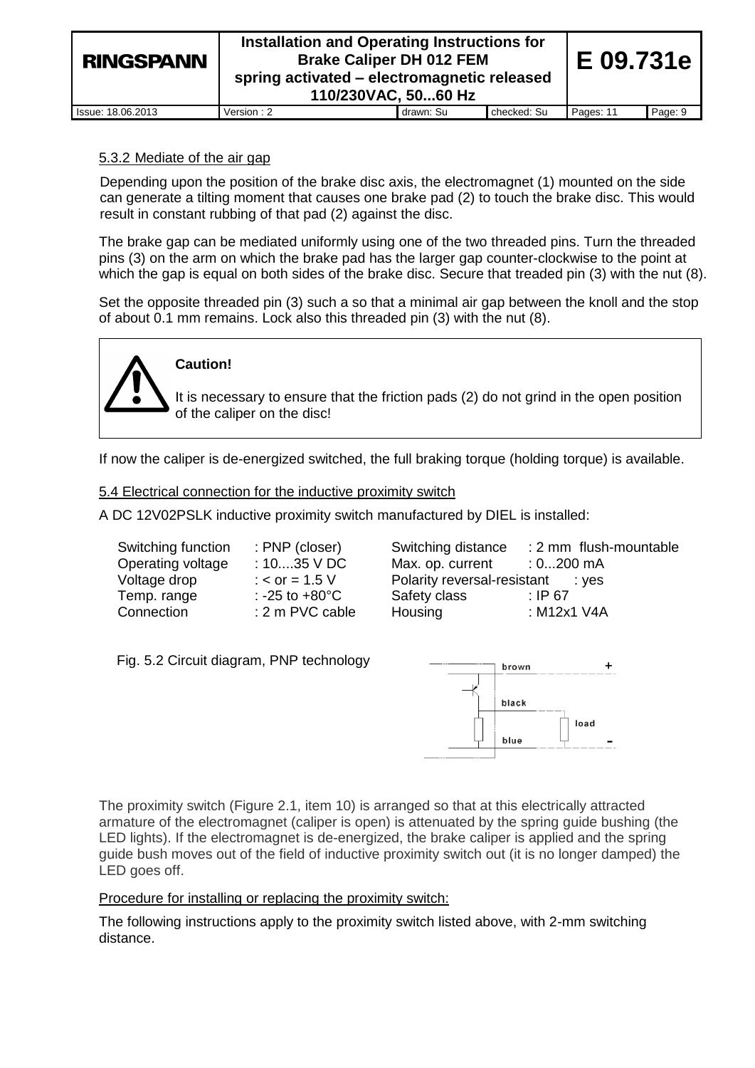| <b>RINGSPANN</b>  | Installation and Operating Instructions for<br><b>Brake Caliper DH 012 FEM</b><br>spring activated – electromagnetic released<br>110/230VAC, 5060 Hz |           |             |           |         |
|-------------------|------------------------------------------------------------------------------------------------------------------------------------------------------|-----------|-------------|-----------|---------|
| Issue: 18.06.2013 | Version: 2                                                                                                                                           | drawn: Su | checked: Su | Pages: 11 | Page: 9 |

## 5.3.2 Mediate of the air gap

Depending upon the position of the brake disc axis, the electromagnet (1) mounted on the side can generate a tilting moment that causes one brake pad (2) to touch the brake disc. This would result in constant rubbing of that pad (2) against the disc.

The brake gap can be mediated uniformly using one of the two threaded pins. Turn the threaded pins (3) on the arm on which the brake pad has the larger gap counter-clockwise to the point at which the gap is equal on both sides of the brake disc. Secure that treaded pin (3) with the nut (8).

Set the opposite threaded pin (3) such a so that a minimal air gap between the knoll and the stop of about 0.1 mm remains. Lock also this threaded pin (3) with the nut (8).



## **Caution!**

It is necessary to ensure that the friction pads (2) do not grind in the open position of the caliper on the disc!

If now the caliper is de-energized switched, the full braking torque (holding torque) is available.

5.4 Electrical connection for the inductive proximity switch

A DC 12V02PSLK inductive proximity switch manufactured by DIEL is installed:

| Switching function | : PNP (closer          |
|--------------------|------------------------|
| Operating voltage  | : 1035 V D             |
| Voltage drop       | : $<$ or = 1.5 V       |
| Temp. range        | : -25 to $+80^{\circ}$ |
| Connection         | : 2 m PVC ca           |

 $S$ witching distance  $\begin{array}{r} 2 \text{ mm} \\ \text{d}S \end{array}$  Switching distance  $\begin{array}{r} 2 \text{ mm} \\ 2 \text{ mm} \end{array}$  flush-mountable Max. op. current  $\qquad$  : 0...200 mA Polarity reversal-resistant : yes  $C \qquad \qquad$  Safety class : IP 67 able Housing : M12x1 V4A

## Fig. 5.2 Circuit diagram, PNP technology



The proximity switch (Figure 2.1, item 10) is arranged so that at this electrically attracted armature of the electromagnet (caliper is open) is attenuated by the spring guide bushing (the LED lights). If the electromagnet is de-energized, the brake caliper is applied and the spring guide bush moves out of the field of inductive proximity switch out (it is no longer damped) the LED goes off.

## Procedure for installing or replacing the proximity switch:

The following instructions apply to the proximity switch listed above, with 2-mm switching distance.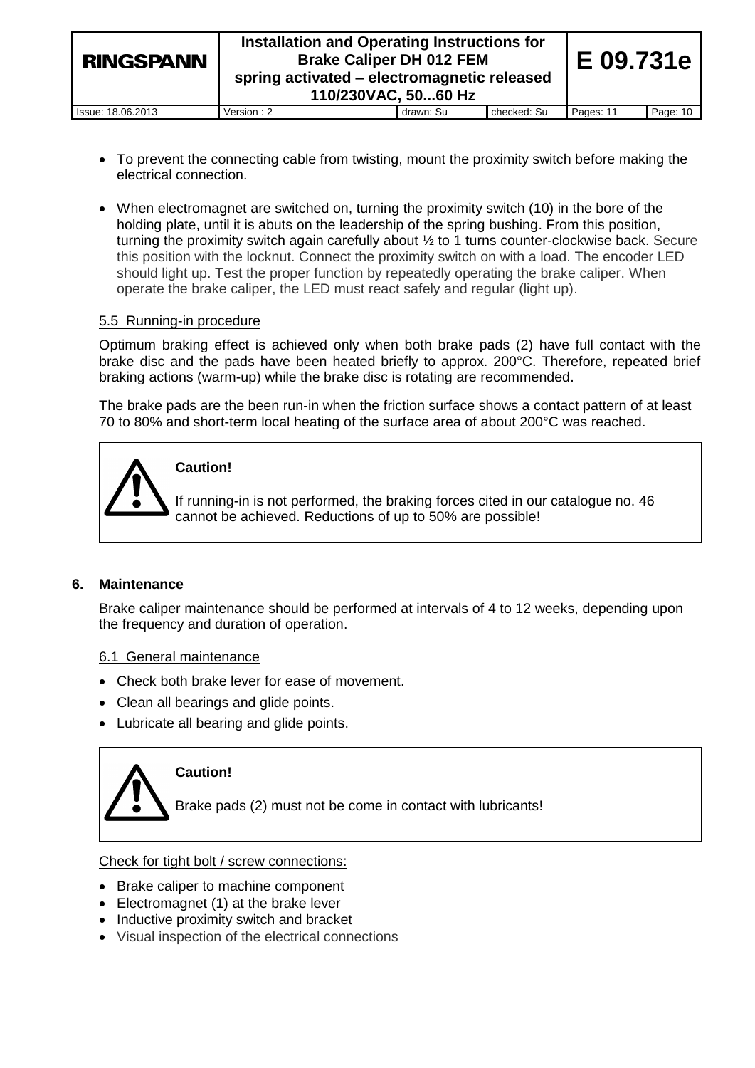| <b>RINGSPANN</b>  | Installation and Operating Instructions for<br><b>Brake Caliper DH 012 FEM</b><br>spring activated – electromagnetic released<br>110/230VAC, 5060 Hz |           |             |           |          |
|-------------------|------------------------------------------------------------------------------------------------------------------------------------------------------|-----------|-------------|-----------|----------|
| Issue: 18.06.2013 | Version : 2                                                                                                                                          | drawn: Su | checked: Su | Pages: 11 | Page: 10 |

- To prevent the connecting cable from twisting, mount the proximity switch before making the electrical connection.
- When electromagnet are switched on, turning the proximity switch (10) in the bore of the holding plate, until it is abuts on the leadership of the spring bushing. From this position, turning the proximity switch again carefully about ½ to 1 turns counter-clockwise back. Secure this position with the locknut. Connect the proximity switch on with a load. The encoder LED should light up. Test the proper function by repeatedly operating the brake caliper. When operate the brake caliper, the LED must react safely and regular (light up).

## 5.5 Running-in procedure

Optimum braking effect is achieved only when both brake pads (2) have full contact with the brake disc and the pads have been heated briefly to approx. 200°C. Therefore, repeated brief braking actions (warm-up) while the brake disc is rotating are recommended.

The brake pads are the been run-in when the friction surface shows a contact pattern of at least 70 to 80% and short-term local heating of the surface area of about 200°C was reached.



## **Caution!**

If running-in is not performed, the braking forces cited in our catalogue no. 46 cannot be achieved. Reductions of up to 50% are possible!

## **6. Maintenance**

Brake caliper maintenance should be performed at intervals of 4 to 12 weeks, depending upon the frequency and duration of operation.

## 6.1 General maintenance

- Check both brake lever for ease of movement.
- Clean all bearings and glide points.
- Lubricate all bearing and glide points.



## **Caution!**

Brake pads (2) must not be come in contact with lubricants!

Check for tight bolt / screw connections:

- Brake caliper to machine component
- Electromagnet (1) at the brake lever
- Inductive proximity switch and bracket
- Visual inspection of the electrical connections